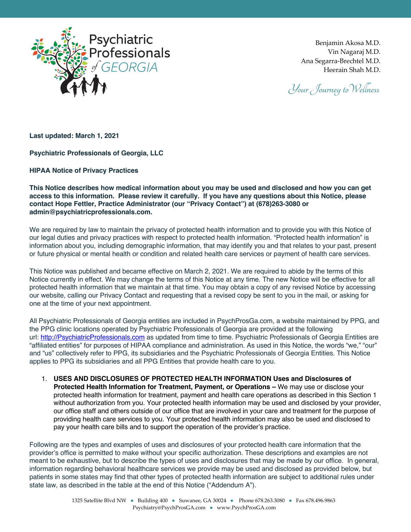

Your Journey to Wellness

**Last updated: March 1, 2021**

**Psychiatric Professionals of Georgia, LLC**

**HIPAA Notice of Privacy Practices**

**This Notice describes how medical information about you may be used and disclosed and how you can get access to this information. Please review it carefully. If you have any questions about this Notice, please contact Hope Fettler, Practice Administrator (our "Privacy Contact") at (678)263-3080 or admin@psychiatricprofessionals.com.**

We are required by law to maintain the privacy of protected health information and to provide you with this Notice of our legal duties and privacy practices with respect to protected health information. "Protected health information" is information about you, including demographic information, that may identify you and that relates to your past, present or future physical or mental health or condition and related health care services or payment of health care services.

This Notice was published and became effective on March 2, 2021. We are required to abide by the terms of this Notice currently in effect. We may change the terms of this Notice at any time. The new Notice will be effective for all protected health information that we maintain at that time. You may obtain a copy of any revised Notice by accessing our website, calling our Privacy Contact and requesting that a revised copy be sent to you in the mail, or asking for one at the time of your next appointment.

All Psychiatric Professionals of Georgia entities are included in PsychProsGa.com, a website maintained by PPG, and the PPG clinic locations operated by Psychiatric Professionals of Georgia are provided at the following url: http://PsychiatricProfessionals.com as updated from time to time. Psychiatric Professionals of Georgia Entities are "affiliated entities" for purposes of HIPAA compliance and administration. As used in this Notice, the words "we," "our" and "us" collectively refer to PPG, its subsidiaries and the Psychiatric Professionals of Georgia Entities. This Notice applies to PPG its subsidiaries and all PPG Entities that provide health care to you.

1. **USES AND DISCLOSURES OF PROTECTED HEALTH INFORMATION Uses and Disclosures of Protected Health Information for Treatment, Payment, or Operations –** We may use or disclose your protected health information for treatment, payment and health care operations as described in this Section 1 without authorization from you. Your protected health information may be used and disclosed by your provider, our office staff and others outside of our office that are involved in your care and treatment for the purpose of providing health care services to you. Your protected health information may also be used and disclosed to pay your health care bills and to support the operation of the provider's practice.

Following are the types and examples of uses and disclosures of your protected health care information that the provider's office is permitted to make without your specific authorization. These descriptions and examples are not meant to be exhaustive, but to describe the types of uses and disclosures that may be made by our office. In general, information regarding behavioral healthcare services we provide may be used and disclosed as provided below, but patients in some states may find that other types of protected health information are subject to additional rules under state law, as described in the table at the end of this Notice ("Addendum A").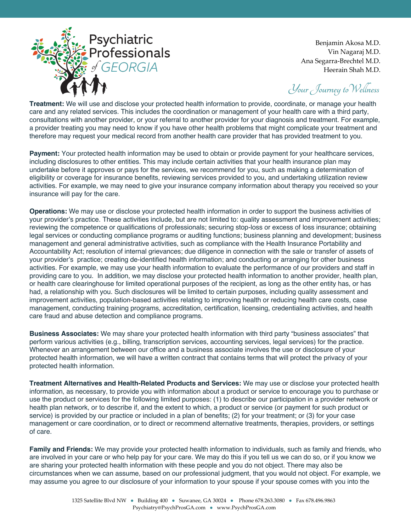

Your Journey to Wellness

**Treatment:** We will use and disclose your protected health information to provide, coordinate, or manage your health care and any related services. This includes the coordination or management of your health care with a third party, consultations with another provider, or your referral to another provider for your diagnosis and treatment. For example, a provider treating you may need to know if you have other health problems that might complicate your treatment and therefore may request your medical record from another health care provider that has provided treatment to you.

**Payment:** Your protected health information may be used to obtain or provide payment for your healthcare services, including disclosures to other entities. This may include certain activities that your health insurance plan may undertake before it approves or pays for the services, we recommend for you, such as making a determination of eligibility or coverage for insurance benefits, reviewing services provided to you, and undertaking utilization review activities. For example, we may need to give your insurance company information about therapy you received so your insurance will pay for the care.

**Operations:** We may use or disclose your protected health information in order to support the business activities of your provider's practice. These activities include, but are not limited to: quality assessment and improvement activities; reviewing the competence or qualifications of professionals; securing stop-loss or excess of loss insurance; obtaining legal services or conducting compliance programs or auditing functions; business planning and development; business management and general administrative activities, such as compliance with the Health Insurance Portability and Accountability Act; resolution of internal grievances; due diligence in connection with the sale or transfer of assets of your provider's practice; creating de-identified health information; and conducting or arranging for other business activities. For example, we may use your health information to evaluate the performance of our providers and staff in providing care to you. In addition, we may disclose your protected health information to another provider, health plan, or health care clearinghouse for limited operational purposes of the recipient, as long as the other entity has, or has had, a relationship with you. Such disclosures will be limited to certain purposes, including quality assessment and improvement activities, population-based activities relating to improving health or reducing health care costs, case management, conducting training programs, accreditation, certification, licensing, credentialing activities, and health care fraud and abuse detection and compliance programs.

**Business Associates:** We may share your protected health information with third party "business associates" that perform various activities (e.g., billing, transcription services, accounting services, legal services) for the practice. Whenever an arrangement between our office and a business associate involves the use or disclosure of your protected health information, we will have a written contract that contains terms that will protect the privacy of your protected health information.

**Treatment Alternatives and Health-Related Products and Services:** We may use or disclose your protected health information, as necessary, to provide you with information about a product or service to encourage you to purchase or use the product or services for the following limited purposes: (1) to describe our participation in a provider network or health plan network, or to describe if, and the extent to which, a product or service (or payment for such product or service) is provided by our practice or included in a plan of benefits; (2) for your treatment; or (3) for your case management or care coordination, or to direct or recommend alternative treatments, therapies, providers, or settings of care.

**Family and Friends:** We may provide your protected health information to individuals, such as family and friends, who are involved in your care or who help pay for your care. We may do this if you tell us we can do so, or if you know we are sharing your protected health information with these people and you do not object. There may also be circumstances when we can assume, based on our professional judgment, that you would not object. For example, we may assume you agree to our disclosure of your information to your spouse if your spouse comes with you into the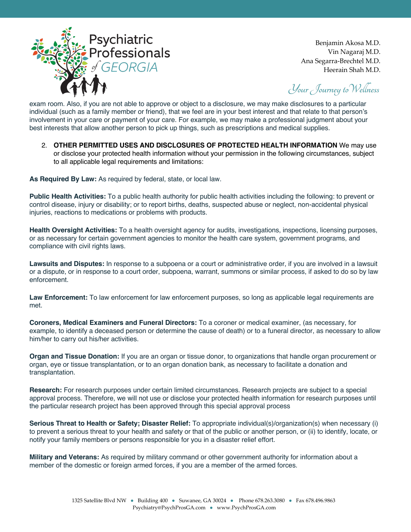

Your Journey to Wellness

exam room. Also, if you are not able to approve or object to a disclosure, we may make disclosures to a particular individual (such as a family member or friend), that we feel are in your best interest and that relate to that person's involvement in your care or payment of your care. For example, we may make a professional judgment about your best interests that allow another person to pick up things, such as prescriptions and medical supplies.

2. **OTHER PERMITTED USES AND DISCLOSURES OF PROTECTED HEALTH INFORMATION** We may use or disclose your protected health information without your permission in the following circumstances, subject to all applicable legal requirements and limitations:

**As Required By Law:** As required by federal, state, or local law.

**Public Health Activities:** To a public health authority for public health activities including the following: to prevent or control disease, injury or disability; or to report births, deaths, suspected abuse or neglect, non-accidental physical injuries, reactions to medications or problems with products.

**Health Oversight Activities:** To a health oversight agency for audits, investigations, inspections, licensing purposes, or as necessary for certain government agencies to monitor the health care system, government programs, and compliance with civil rights laws.

**Lawsuits and Disputes:** In response to a subpoena or a court or administrative order, if you are involved in a lawsuit or a dispute, or in response to a court order, subpoena, warrant, summons or similar process, if asked to do so by law enforcement.

**Law Enforcement:** To law enforcement for law enforcement purposes, so long as applicable legal requirements are met.

**Coroners, Medical Examiners and Funeral Directors:** To a coroner or medical examiner, (as necessary, for example, to identify a deceased person or determine the cause of death) or to a funeral director, as necessary to allow him/her to carry out his/her activities.

**Organ and Tissue Donation:** If you are an organ or tissue donor, to organizations that handle organ procurement or organ, eye or tissue transplantation, or to an organ donation bank, as necessary to facilitate a donation and transplantation.

**Research:** For research purposes under certain limited circumstances. Research projects are subject to a special approval process. Therefore, we will not use or disclose your protected health information for research purposes until the particular research project has been approved through this special approval process

**Serious Threat to Health or Safety; Disaster Relief:** To appropriate individual(s)/organization(s) when necessary (i) to prevent a serious threat to your health and safety or that of the public or another person, or (ii) to identify, locate, or notify your family members or persons responsible for you in a disaster relief effort.

**Military and Veterans:** As required by military command or other government authority for information about a member of the domestic or foreign armed forces, if you are a member of the armed forces.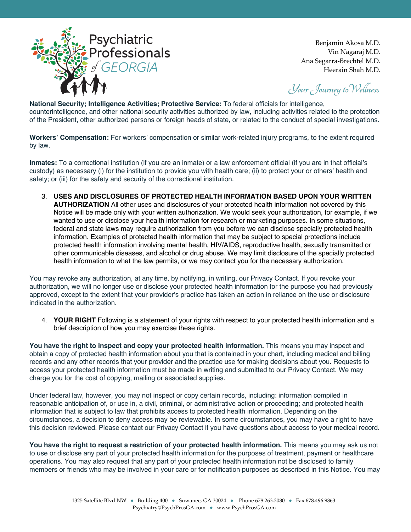

Your Journey to Wellness

**National Security; Intelligence Activities; Protective Service:** To federal officials for intelligence, counterintelligence, and other national security activities authorized by law, including activities related to the protection of the President, other authorized persons or foreign heads of state, or related to the conduct of special investigations.

**Workers' Compensation:** For workers' compensation or similar work-related injury programs, to the extent required by law.

**Inmates:** To a correctional institution (if you are an inmate) or a law enforcement official (if you are in that official's custody) as necessary (i) for the institution to provide you with health care; (ii) to protect your or others' health and safety; or (iii) for the safety and security of the correctional institution.

3. **USES AND DISCLOSURES OF PROTECTED HEALTH INFORMATION BASED UPON YOUR WRITTEN AUTHORIZATION** All other uses and disclosures of your protected health information not covered by this Notice will be made only with your written authorization. We would seek your authorization, for example, if we wanted to use or disclose your health information for research or marketing purposes. In some situations, federal and state laws may require authorization from you before we can disclose specially protected health information. Examples of protected health information that may be subject to special protections include protected health information involving mental health, HIV/AIDS, reproductive health, sexually transmitted or other communicable diseases, and alcohol or drug abuse. We may limit disclosure of the specially protected health information to what the law permits, or we may contact you for the necessary authorization.

You may revoke any authorization, at any time, by notifying, in writing, our Privacy Contact. If you revoke your authorization, we will no longer use or disclose your protected health information for the purpose you had previously approved, except to the extent that your provider's practice has taken an action in reliance on the use or disclosure indicated in the authorization.

4. **YOUR RIGHT** Following is a statement of your rights with respect to your protected health information and a brief description of how you may exercise these rights.

**You have the right to inspect and copy your protected health information.** This means you may inspect and obtain a copy of protected health information about you that is contained in your chart, including medical and billing records and any other records that your provider and the practice use for making decisions about you. Requests to access your protected health information must be made in writing and submitted to our Privacy Contact. We may charge you for the cost of copying, mailing or associated supplies.

Under federal law, however, you may not inspect or copy certain records, including: information compiled in reasonable anticipation of, or use in, a civil, criminal, or administrative action or proceeding; and protected health information that is subject to law that prohibits access to protected health information. Depending on the circumstances, a decision to deny access may be reviewable. In some circumstances, you may have a right to have this decision reviewed. Please contact our Privacy Contact if you have questions about access to your medical record.

**You have the right to request a restriction of your protected health information.** This means you may ask us not to use or disclose any part of your protected health information for the purposes of treatment, payment or healthcare operations. You may also request that any part of your protected health information not be disclosed to family members or friends who may be involved in your care or for notification purposes as described in this Notice. You may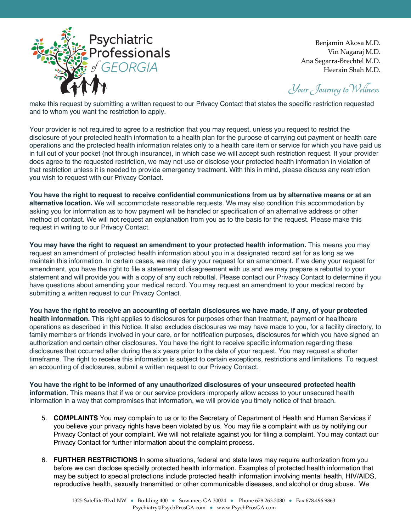

Your Journey to Wellness

make this request by submitting a written request to our Privacy Contact that states the specific restriction requested and to whom you want the restriction to apply.

Your provider is not required to agree to a restriction that you may request, unless you request to restrict the disclosure of your protected health information to a health plan for the purpose of carrying out payment or health care operations and the protected health information relates only to a health care item or service for which you have paid us in full out of your pocket (not through insurance), in which case we will accept such restriction request. If your provider does agree to the requested restriction, we may not use or disclose your protected health information in violation of that restriction unless it is needed to provide emergency treatment. With this in mind, please discuss any restriction you wish to request with our Privacy Contact.

**You have the right to request to receive confidential communications from us by alternative means or at an alternative location.** We will accommodate reasonable requests. We may also condition this accommodation by asking you for information as to how payment will be handled or specification of an alternative address or other method of contact. We will not request an explanation from you as to the basis for the request. Please make this request in writing to our Privacy Contact.

**You may have the right to request an amendment to your protected health information.** This means you may request an amendment of protected health information about you in a designated record set for as long as we maintain this information. In certain cases, we may deny your request for an amendment. If we deny your request for amendment, you have the right to file a statement of disagreement with us and we may prepare a rebuttal to your statement and will provide you with a copy of any such rebuttal. Please contact our Privacy Contact to determine if you have questions about amending your medical record. You may request an amendment to your medical record by submitting a written request to our Privacy Contact.

**You have the right to receive an accounting of certain disclosures we have made, if any, of your protected health information.** This right applies to disclosures for purposes other than treatment, payment or healthcare operations as described in this Notice. It also excludes disclosures we may have made to you, for a facility directory, to family members or friends involved in your care, or for notification purposes, disclosures for which you have signed an authorization and certain other disclosures. You have the right to receive specific information regarding these disclosures that occurred after during the six years prior to the date of your request. You may request a shorter timeframe. The right to receive this information is subject to certain exceptions, restrictions and limitations. To request an accounting of disclosures, submit a written request to our Privacy Contact.

**You have the right to be informed of any unauthorized disclosures of your unsecured protected health information**. This means that if we or our service providers improperly allow access to your unsecured health information in a way that compromises that information, we will provide you timely notice of that breach.

- 5. **COMPLAINTS** You may complain to us or to the Secretary of Department of Health and Human Services if you believe your privacy rights have been violated by us. You may file a complaint with us by notifying our Privacy Contact of your complaint. We will not retaliate against you for filing a complaint. You may contact our Privacy Contact for further information about the complaint process.
- 6. **FURTHER RESTRICTIONS** In some situations, federal and state laws may require authorization from you before we can disclose specially protected health information. Examples of protected health information that may be subject to special protections include protected health information involving mental health, HIV/AIDS, reproductive health, sexually transmitted or other communicable diseases, and alcohol or drug abuse. We